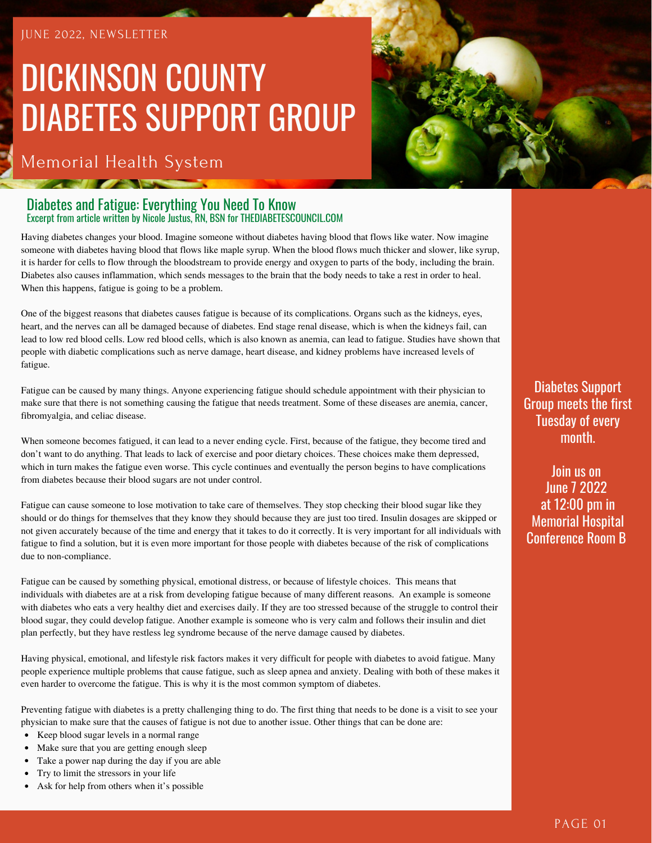### JUNE 2022, NEWSLETTER

# DICKINSON COUNTY DIABETES SUPPORT GROUP

## Memorial Health System



### Diabetes and Fatigue: Everything You Need To Know Excerpt from article written by Nicole Justus, RN, BSN for THEDIABETESCOUNCIL.COM

Having diabetes changes your blood. Imagine someone without diabetes having blood that flows like water. Now imagine someone with diabetes having blood that flows like maple syrup. When the blood flows much thicker and slower, like syrup, it is harder for cells to flow through the bloodstream to provide energy and oxygen to parts of the body, including the brain. Diabetes also causes inflammation, which sends messages to the brain that the body needs to take a rest in order to heal. When this happens, fatigue is going to be a problem.

One of the biggest reasons that diabetes causes fatigue is because of its complications. Organs such as the kidneys, eyes, heart, and the nerves can all be damaged because of diabetes. End stage renal disease, which is when the kidneys fail, can lead to low red blood cells. Low red blood cells, which is also known as anemia, can lead to fatigue. Studies have shown that people with diabetic complications such as nerve damage, heart disease, and kidney problems have increased levels of fatigue.

Fatigue can be caused by many things. Anyone experiencing fatigue should schedule appointment with their physician to make sure that there is not something causing the fatigue that needs treatment. Some of these diseases are anemia, cancer, fibromyalgia, and celiac disease.

When someone becomes fatigued, it can lead to a never ending cycle. First, because of the fatigue, they become tired and don't want to do anything. That leads to lack of exercise and poor dietary choices. These choices make them depressed, which in turn makes the fatigue even worse. This cycle continues and eventually the person begins to have complications from diabetes because their blood sugars are not under control.

Fatigue can cause someone to lose motivation to take care of themselves. They stop checking their blood sugar like they should or do things for themselves that they know they should because they are just too tired. Insulin dosages are skipped or not given accurately because of the time and energy that it takes to do it correctly. It is very important for all individuals with fatigue to find a solution, but it is even more important for those people with diabetes because of the risk of complications due to non-compliance.

Fatigue can be caused by something physical, emotional distress, or because of lifestyle choices. This means that individuals with diabetes are at a risk from developing fatigue because of many different reasons. An example is someone with diabetes who eats a very healthy diet and exercises daily. If they are too stressed because of the struggle to control their blood sugar, they could develop fatigue. Another example is someone who is very calm and follows their insulin and diet plan perfectly, but they have restless leg syndrome because of the nerve damage caused by diabetes.

Having physical, emotional, and lifestyle risk factors makes it very difficult for people with diabetes to avoid fatigue. Many people experience multiple problems that cause fatigue, such as sleep apnea and anxiety. Dealing with both of these makes it even harder to overcome the fatigue. This is why it is the most common symptom of diabetes.

Preventing fatigue with diabetes is a pretty challenging thing to do. The first thing that needs to be done is a visit to see your physician to make sure that the causes of fatigue is not due to another issue. Other things that can be done are:

- Keep blood sugar levels in a normal range
- Make sure that you are getting enough sleep
- Take a power nap during the day if you are able
- Try to limit the stressors in your life
- Ask for help from others when it's possible

Diabetes Support Group meets the first Tuesday of every month.

Join us on June 7 2022 at 12:00 pm in Memorial Hospital Conference Room B